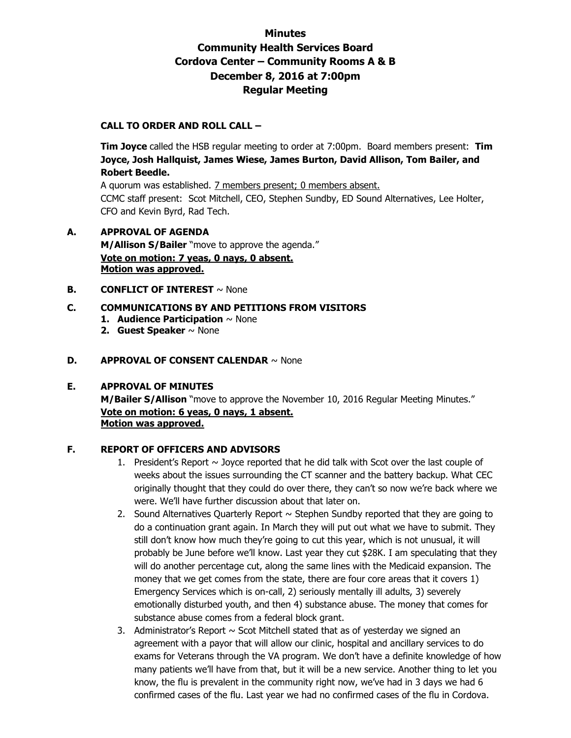# **Minutes Community Health Services Board Cordova Center – Community Rooms A & B December 8, 2016 at 7:00pm Regular Meeting**

### **CALL TO ORDER AND ROLL CALL –**

 **Tim Joyce** called the HSB regular meeting to order at 7:00pm. Board members present: **Tim Joyce, Josh Hallquist, James Wiese, James Burton, David Allison, Tom Bailer, and Robert Beedle.** 

A quorum was established. 7 members present; 0 members absent. CCMC staff present: Scot Mitchell, CEO, Stephen Sundby, ED Sound Alternatives, Lee Holter, CFO and Kevin Byrd, Rad Tech.

# **A. APPROVAL OF AGENDA M/Allison S/Bailer** "move to approve the agenda." **Vote on motion: 7 yeas, 0 nays, 0 absent. Motion was approved.**

#### **B. CONFLICT OF INTEREST** ~ None

### **C. COMMUNICATIONS BY AND PETITIONS FROM VISITORS**

- **1. Audience Participation** ~ None
- **2. Guest Speaker** ~ None

#### **D. APPROVAL OF CONSENT CALENDAR** ~ None

#### **E. APPROVAL OF MINUTES**

**M/Bailer S/Allison** "move to approve the November 10, 2016 Regular Meeting Minutes." **Vote on motion: 6 yeas, 0 nays, 1 absent. Motion was approved.**

#### **F. REPORT OF OFFICERS AND ADVISORS**

- 1. President's Report  $\sim$  Joyce reported that he did talk with Scot over the last couple of weeks about the issues surrounding the CT scanner and the battery backup. What CEC originally thought that they could do over there, they can't so now we're back where we were. We'll have further discussion about that later on.
- 2. Sound Alternatives Quarterly Report  $\sim$  Stephen Sundby reported that they are going to do a continuation grant again. In March they will put out what we have to submit. They still don't know how much they're going to cut this year, which is not unusual, it will probably be June before we'll know. Last year they cut \$28K. I am speculating that they will do another percentage cut, along the same lines with the Medicaid expansion. The money that we get comes from the state, there are four core areas that it covers 1) Emergency Services which is on-call, 2) seriously mentally ill adults, 3) severely emotionally disturbed youth, and then 4) substance abuse. The money that comes for substance abuse comes from a federal block grant.
- 3. Administrator's Report  $\sim$  Scot Mitchell stated that as of yesterday we signed an agreement with a payor that will allow our clinic, hospital and ancillary services to do exams for Veterans through the VA program. We don't have a definite knowledge of how many patients we'll have from that, but it will be a new service. Another thing to let you know, the flu is prevalent in the community right now, we've had in 3 days we had 6 confirmed cases of the flu. Last year we had no confirmed cases of the flu in Cordova.